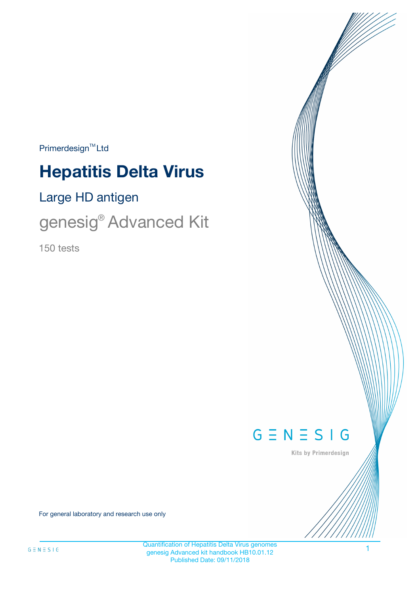$Primerdesign^{\text{TM}}Ltd$ 

# **Hepatitis Delta Virus**

Large HD antigen

genesig® Advanced Kit

150 tests



Kits by Primerdesign

For general laboratory and research use only

1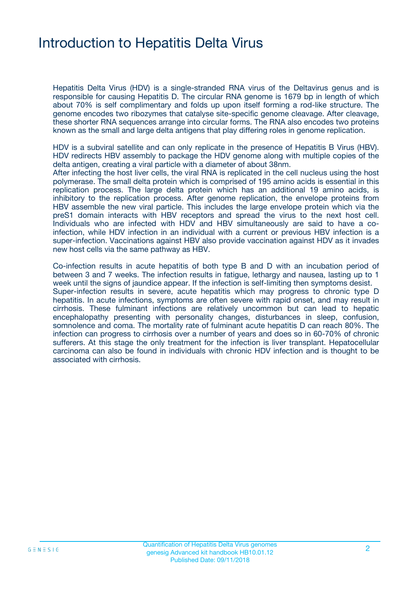# Introduction to Hepatitis Delta Virus

Hepatitis Delta Virus (HDV) is a single-stranded RNA virus of the Deltavirus genus and is responsible for causing Hepatitis D. The circular RNA genome is 1679 bp in length of which about 70% is self complimentary and folds up upon itself forming a rod-like structure. The genome encodes two ribozymes that catalyse site-specific genome cleavage. After cleavage, these shorter RNA sequences arrange into circular forms. The RNA also encodes two proteins known as the small and large delta antigens that play differing roles in genome replication.

HDV is a subviral satellite and can only replicate in the presence of Hepatitis B Virus (HBV). HDV redirects HBV assembly to package the HDV genome along with multiple copies of the delta antigen, creating a viral particle with a diameter of about 38nm.

After infecting the host liver cells, the viral RNA is replicated in the cell nucleus using the host polymerase. The small delta protein which is comprised of 195 amino acids is essential in this replication process. The large delta protein which has an additional 19 amino acids, is inhibitory to the replication process. After genome replication, the envelope proteins from HBV assemble the new viral particle. This includes the large envelope protein which via the preS1 domain interacts with HBV receptors and spread the virus to the next host cell. Individuals who are infected with HDV and HBV simultaneously are said to have a coinfection, while HDV infection in an individual with a current or previous HBV infection is a super-infection. Vaccinations against HBV also provide vaccination against HDV as it invades new host cells via the same pathway as HBV.

Co-infection results in acute hepatitis of both type B and D with an incubation period of between 3 and 7 weeks. The infection results in fatigue, lethargy and nausea, lasting up to 1 week until the signs of jaundice appear. If the infection is self-limiting then symptoms desist. Super-infection results in severe, acute hepatitis which may progress to chronic type D hepatitis. In acute infections, symptoms are often severe with rapid onset, and may result in cirrhosis. These fulminant infections are relatively uncommon but can lead to hepatic encephalopathy presenting with personality changes, disturbances in sleep, confusion, somnolence and coma. The mortality rate of fulminant acute hepatitis D can reach 80%. The infection can progress to cirrhosis over a number of years and does so in 60-70% of chronic sufferers. At this stage the only treatment for the infection is liver transplant. Hepatocellular carcinoma can also be found in individuals with chronic HDV infection and is thought to be associated with cirrhosis.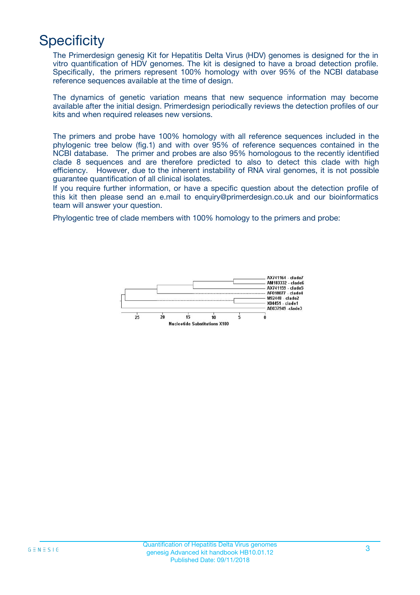# **Specificity**

The Primerdesign genesig Kit for Hepatitis Delta Virus (HDV) genomes is designed for the in vitro quantification of HDV genomes. The kit is designed to have a broad detection profile. Specifically, the primers represent 100% homology with over 95% of the NCBI database reference sequences available at the time of design.

The dynamics of genetic variation means that new sequence information may become available after the initial design. Primerdesign periodically reviews the detection profiles of our kits and when required releases new versions.

The primers and probe have 100% homology with all reference sequences included in the phylogenic tree below (fig.1) and with over 95% of reference sequences contained in the NCBI database. The primer and probes are also 95% homologous to the recently identified clade 8 sequences and are therefore predicted to also to detect this clade with high efficiency. However, due to the inherent instability of RNA viral genomes, it is not possible guarantee quantification of all clinical isolates.

If you require further information, or have a specific question about the detection profile of this kit then please send an e.mail to enquiry@primerdesign.co.uk and our bioinformatics team will answer your question.

Phylogentic tree of clade members with 100% homology to the primers and probe:

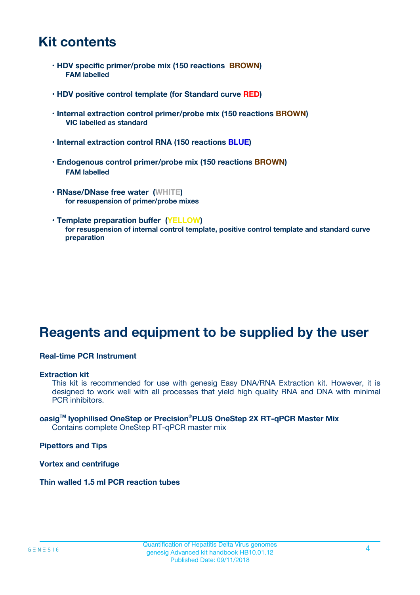# **Kit contents**

- **HDV specific primer/probe mix (150 reactions BROWN) FAM labelled**
- **HDV positive control template (for Standard curve RED)**
- **Internal extraction control primer/probe mix (150 reactions BROWN) VIC labelled as standard**
- **Internal extraction control RNA (150 reactions BLUE)**
- **Endogenous control primer/probe mix (150 reactions BROWN) FAM labelled**
- **RNase/DNase free water (WHITE) for resuspension of primer/probe mixes**
- **Template preparation buffer (YELLOW) for resuspension of internal control template, positive control template and standard curve preparation**

# **Reagents and equipment to be supplied by the user**

#### **Real-time PCR Instrument**

#### **Extraction kit**

This kit is recommended for use with genesig Easy DNA/RNA Extraction kit. However, it is designed to work well with all processes that yield high quality RNA and DNA with minimal PCR inhibitors.

#### **oasigTM lyophilised OneStep or Precision**®**PLUS OneStep 2X RT-qPCR Master Mix** Contains complete OneStep RT-qPCR master mix

**Pipettors and Tips**

**Vortex and centrifuge**

**Thin walled 1.5 ml PCR reaction tubes**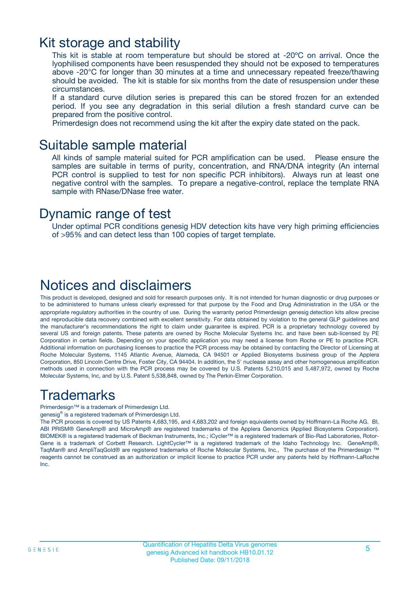## Kit storage and stability

This kit is stable at room temperature but should be stored at -20ºC on arrival. Once the lyophilised components have been resuspended they should not be exposed to temperatures above -20°C for longer than 30 minutes at a time and unnecessary repeated freeze/thawing should be avoided. The kit is stable for six months from the date of resuspension under these circumstances.

If a standard curve dilution series is prepared this can be stored frozen for an extended period. If you see any degradation in this serial dilution a fresh standard curve can be prepared from the positive control.

Primerdesign does not recommend using the kit after the expiry date stated on the pack.

### Suitable sample material

All kinds of sample material suited for PCR amplification can be used. Please ensure the samples are suitable in terms of purity, concentration, and RNA/DNA integrity (An internal PCR control is supplied to test for non specific PCR inhibitors). Always run at least one negative control with the samples. To prepare a negative-control, replace the template RNA sample with RNase/DNase free water.

### Dynamic range of test

Under optimal PCR conditions genesig HDV detection kits have very high priming efficiencies of >95% and can detect less than 100 copies of target template.

## Notices and disclaimers

This product is developed, designed and sold for research purposes only. It is not intended for human diagnostic or drug purposes or to be administered to humans unless clearly expressed for that purpose by the Food and Drug Administration in the USA or the appropriate regulatory authorities in the country of use. During the warranty period Primerdesign genesig detection kits allow precise and reproducible data recovery combined with excellent sensitivity. For data obtained by violation to the general GLP guidelines and the manufacturer's recommendations the right to claim under guarantee is expired. PCR is a proprietary technology covered by several US and foreign patents. These patents are owned by Roche Molecular Systems Inc. and have been sub-licensed by PE Corporation in certain fields. Depending on your specific application you may need a license from Roche or PE to practice PCR. Additional information on purchasing licenses to practice the PCR process may be obtained by contacting the Director of Licensing at Roche Molecular Systems, 1145 Atlantic Avenue, Alameda, CA 94501 or Applied Biosystems business group of the Applera Corporation, 850 Lincoln Centre Drive, Foster City, CA 94404. In addition, the 5' nuclease assay and other homogeneous amplification methods used in connection with the PCR process may be covered by U.S. Patents 5,210,015 and 5,487,972, owned by Roche Molecular Systems, Inc, and by U.S. Patent 5,538,848, owned by The Perkin-Elmer Corporation.

# Trademarks

Primerdesign™ is a trademark of Primerdesign Ltd.

genesig® is a registered trademark of Primerdesign Ltd.

The PCR process is covered by US Patents 4,683,195, and 4,683,202 and foreign equivalents owned by Hoffmann-La Roche AG. BI, ABI PRISM® GeneAmp® and MicroAmp® are registered trademarks of the Applera Genomics (Applied Biosystems Corporation). BIOMEK® is a registered trademark of Beckman Instruments, Inc.; iCycler™ is a registered trademark of Bio-Rad Laboratories, Rotor-Gene is a trademark of Corbett Research. LightCycler™ is a registered trademark of the Idaho Technology Inc. GeneAmp®, TaqMan® and AmpliTaqGold® are registered trademarks of Roche Molecular Systems, Inc., The purchase of the Primerdesign ™ reagents cannot be construed as an authorization or implicit license to practice PCR under any patents held by Hoffmann-LaRoche Inc.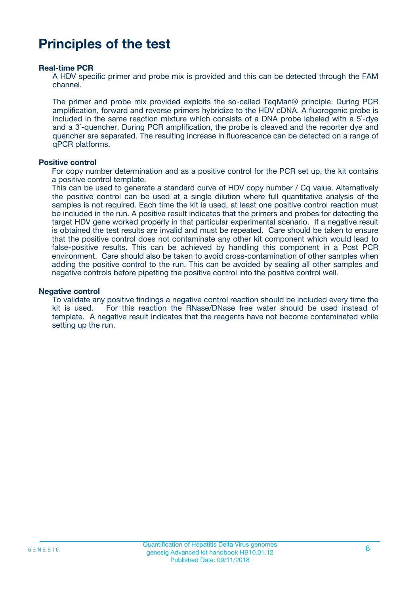# **Principles of the test**

#### **Real-time PCR**

A HDV specific primer and probe mix is provided and this can be detected through the FAM channel.

The primer and probe mix provided exploits the so-called TaqMan® principle. During PCR amplification, forward and reverse primers hybridize to the HDV cDNA. A fluorogenic probe is included in the same reaction mixture which consists of a DNA probe labeled with a 5`-dye and a 3`-quencher. During PCR amplification, the probe is cleaved and the reporter dye and quencher are separated. The resulting increase in fluorescence can be detected on a range of qPCR platforms.

#### **Positive control**

For copy number determination and as a positive control for the PCR set up, the kit contains a positive control template.

This can be used to generate a standard curve of HDV copy number / Cq value. Alternatively the positive control can be used at a single dilution where full quantitative analysis of the samples is not required. Each time the kit is used, at least one positive control reaction must be included in the run. A positive result indicates that the primers and probes for detecting the target HDV gene worked properly in that particular experimental scenario. If a negative result is obtained the test results are invalid and must be repeated. Care should be taken to ensure that the positive control does not contaminate any other kit component which would lead to false-positive results. This can be achieved by handling this component in a Post PCR environment. Care should also be taken to avoid cross-contamination of other samples when adding the positive control to the run. This can be avoided by sealing all other samples and negative controls before pipetting the positive control into the positive control well.

#### **Negative control**

To validate any positive findings a negative control reaction should be included every time the kit is used. For this reaction the RNase/DNase free water should be used instead of template. A negative result indicates that the reagents have not become contaminated while setting up the run.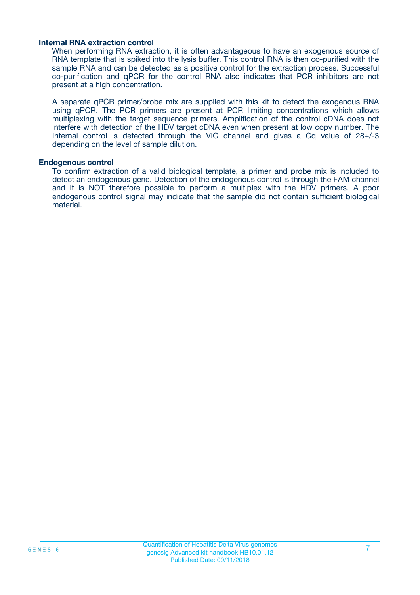#### **Internal RNA extraction control**

When performing RNA extraction, it is often advantageous to have an exogenous source of RNA template that is spiked into the lysis buffer. This control RNA is then co-purified with the sample RNA and can be detected as a positive control for the extraction process. Successful co-purification and qPCR for the control RNA also indicates that PCR inhibitors are not present at a high concentration.

A separate qPCR primer/probe mix are supplied with this kit to detect the exogenous RNA using qPCR. The PCR primers are present at PCR limiting concentrations which allows multiplexing with the target sequence primers. Amplification of the control cDNA does not interfere with detection of the HDV target cDNA even when present at low copy number. The Internal control is detected through the VIC channel and gives a Cq value of 28+/-3 depending on the level of sample dilution.

#### **Endogenous control**

To confirm extraction of a valid biological template, a primer and probe mix is included to detect an endogenous gene. Detection of the endogenous control is through the FAM channel and it is NOT therefore possible to perform a multiplex with the HDV primers. A poor endogenous control signal may indicate that the sample did not contain sufficient biological material.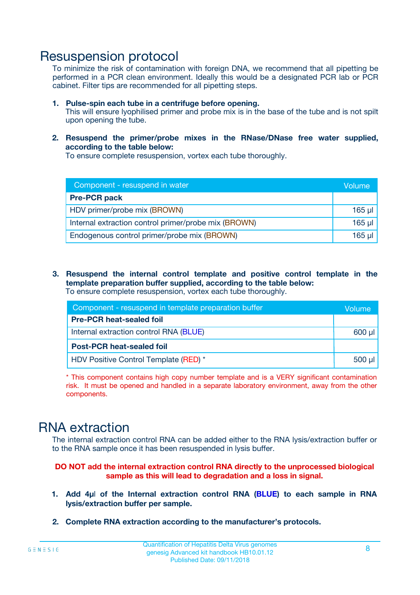## Resuspension protocol

To minimize the risk of contamination with foreign DNA, we recommend that all pipetting be performed in a PCR clean environment. Ideally this would be a designated PCR lab or PCR cabinet. Filter tips are recommended for all pipetting steps.

- **1. Pulse-spin each tube in a centrifuge before opening.** This will ensure lyophilised primer and probe mix is in the base of the tube and is not spilt upon opening the tube.
- **2. Resuspend the primer/probe mixes in the RNase/DNase free water supplied, according to the table below:**

To ensure complete resuspension, vortex each tube thoroughly.

| Component - resuspend in water                       | Volume   |
|------------------------------------------------------|----------|
| <b>Pre-PCR pack</b>                                  |          |
| HDV primer/probe mix (BROWN)                         | $165$ µl |
| Internal extraction control primer/probe mix (BROWN) | $165$ µl |
| Endogenous control primer/probe mix (BROWN)          | 165 µl   |

**3. Resuspend the internal control template and positive control template in the template preparation buffer supplied, according to the table below:** To ensure complete resuspension, vortex each tube thoroughly.

| Component - resuspend in template preparation buffer |             |  |  |
|------------------------------------------------------|-------------|--|--|
| <b>Pre-PCR heat-sealed foil</b>                      |             |  |  |
| Internal extraction control RNA (BLUE)               |             |  |  |
| <b>Post-PCR heat-sealed foil</b>                     |             |  |  |
| HDV Positive Control Template (RED) *                | $500$ $\mu$ |  |  |

\* This component contains high copy number template and is a VERY significant contamination risk. It must be opened and handled in a separate laboratory environment, away from the other components.

# RNA extraction

The internal extraction control RNA can be added either to the RNA lysis/extraction buffer or to the RNA sample once it has been resuspended in lysis buffer.

#### **DO NOT add the internal extraction control RNA directly to the unprocessed biological sample as this will lead to degradation and a loss in signal.**

- **1. Add 4µ**l **of the Internal extraction control RNA (BLUE) to each sample in RNA lysis/extraction buffer per sample.**
- **2. Complete RNA extraction according to the manufacturer's protocols.**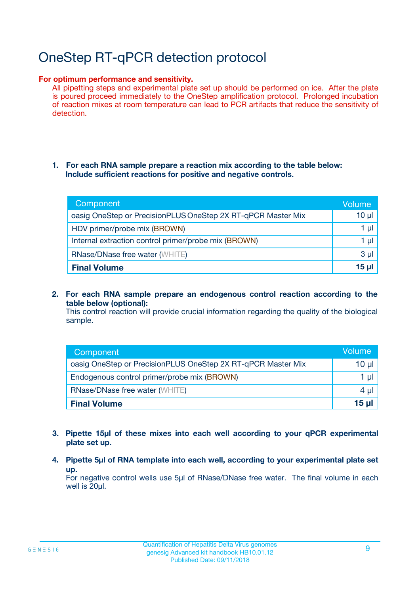# OneStep RT-qPCR detection protocol

#### **For optimum performance and sensitivity.**

All pipetting steps and experimental plate set up should be performed on ice. After the plate is poured proceed immediately to the OneStep amplification protocol. Prolonged incubation of reaction mixes at room temperature can lead to PCR artifacts that reduce the sensitivity of detection.

#### **1. For each RNA sample prepare a reaction mix according to the table below: Include sufficient reactions for positive and negative controls.**

| Component                                                    | Volume   |
|--------------------------------------------------------------|----------|
| oasig OneStep or PrecisionPLUS OneStep 2X RT-qPCR Master Mix | $10 \mu$ |
| HDV primer/probe mix (BROWN)                                 | 1 µI     |
| Internal extraction control primer/probe mix (BROWN)         | 1 µl     |
| <b>RNase/DNase free water (WHITE)</b>                        | $3 \mu$  |
| <b>Final Volume</b>                                          | 15 ul    |

**2. For each RNA sample prepare an endogenous control reaction according to the table below (optional):**

This control reaction will provide crucial information regarding the quality of the biological sample.

| Component                                                    | Volume   |
|--------------------------------------------------------------|----------|
| oasig OneStep or PrecisionPLUS OneStep 2X RT-qPCR Master Mix | 10 $\mu$ |
| Endogenous control primer/probe mix (BROWN)                  | 1 ul     |
| <b>RNase/DNase free water (WHITE)</b>                        | $4 \mu$  |
| <b>Final Volume</b>                                          | 15 µl    |

- **3. Pipette 15µl of these mixes into each well according to your qPCR experimental plate set up.**
- **4. Pipette 5µl of RNA template into each well, according to your experimental plate set up.**

For negative control wells use 5µl of RNase/DNase free water. The final volume in each well is 20µl.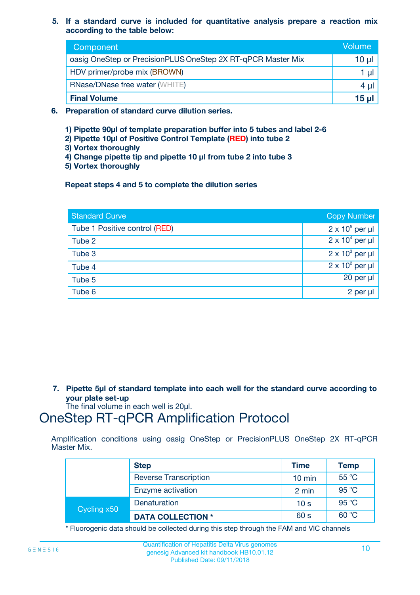**5. If a standard curve is included for quantitative analysis prepare a reaction mix according to the table below:**

| Component                                                    | Volume |
|--------------------------------------------------------------|--------|
| oasig OneStep or PrecisionPLUS OneStep 2X RT-qPCR Master Mix | 10 µl  |
| HDV primer/probe mix (BROWN)                                 |        |
| <b>RNase/DNase free water (WHITE)</b>                        | 4 µl   |
| <b>Final Volume</b>                                          | 15 µl  |

- **6. Preparation of standard curve dilution series.**
	- **1) Pipette 90µl of template preparation buffer into 5 tubes and label 2-6**
	- **2) Pipette 10µl of Positive Control Template (RED) into tube 2**
	- **3) Vortex thoroughly**
	- **4) Change pipette tip and pipette 10 µl from tube 2 into tube 3**
	- **5) Vortex thoroughly**

**Repeat steps 4 and 5 to complete the dilution series**

| <b>Standard Curve</b>         | <b>Copy Number</b>     |
|-------------------------------|------------------------|
| Tube 1 Positive control (RED) | $2 \times 10^5$ per µl |
| Tube 2                        | $2 \times 10^4$ per µl |
| Tube 3                        | $2 \times 10^3$ per µl |
| Tube 4                        | $2 \times 10^2$ per µl |
| Tube 5                        | 20 per µl              |
| Tube 6                        | 2 per µl               |

**7. Pipette 5µl of standard template into each well for the standard curve according to your plate set-up**

The final volume in each well is 20µl.

# OneStep RT-qPCR Amplification Protocol

Amplification conditions using oasig OneStep or PrecisionPLUS OneStep 2X RT-qPCR Master Mix.

|             | <b>Step</b>                  | <b>Time</b>      | <b>Temp</b> |
|-------------|------------------------------|------------------|-------------|
|             | <b>Reverse Transcription</b> | $10 \text{ min}$ | 55 °C       |
|             | Enzyme activation            | 2 min            | 95 °C       |
| Cycling x50 | Denaturation                 | 10 <sub>s</sub>  | 95 °C       |
|             | <b>DATA COLLECTION *</b>     | 60 s             | 60 °C       |

\* Fluorogenic data should be collected during this step through the FAM and VIC channels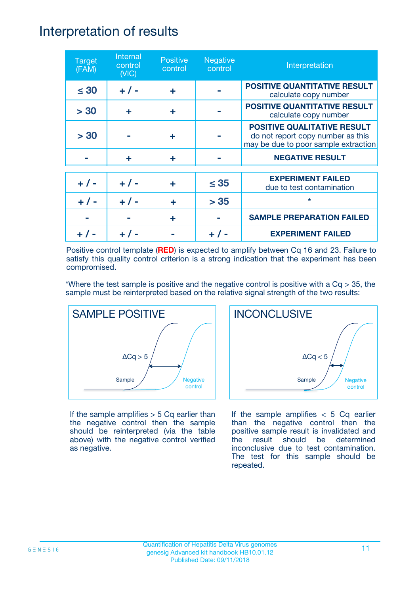## Interpretation of results

| <b>Target</b><br>(FAM) | Internal<br>control<br>(NIC) | <b>Positive</b><br>control | <b>Negative</b><br>control | Interpretation                                                                                                  |
|------------------------|------------------------------|----------------------------|----------------------------|-----------------------------------------------------------------------------------------------------------------|
| $\leq 30$              | $+ 1 -$                      | ÷                          |                            | <b>POSITIVE QUANTITATIVE RESULT</b><br>calculate copy number                                                    |
| > 30                   | ÷                            | ÷                          |                            | <b>POSITIVE QUANTITATIVE RESULT</b><br>calculate copy number                                                    |
| > 30                   |                              | ÷                          |                            | <b>POSITIVE QUALITATIVE RESULT</b><br>do not report copy number as this<br>may be due to poor sample extraction |
|                        | ÷                            | ÷                          |                            | <b>NEGATIVE RESULT</b>                                                                                          |
| $+ 1 -$                | $+ 1 -$                      | ÷                          | $\leq$ 35                  | <b>EXPERIMENT FAILED</b><br>due to test contamination                                                           |
|                        | $+$ / -                      |                            | > 35                       | $\star$                                                                                                         |
|                        |                              | ÷                          |                            | <b>SAMPLE PREPARATION FAILED</b>                                                                                |
|                        |                              |                            |                            | <b>EXPERIMENT FAILED</b>                                                                                        |

Positive control template (**RED**) is expected to amplify between Cq 16 and 23. Failure to satisfy this quality control criterion is a strong indication that the experiment has been compromised.

\*Where the test sample is positive and the negative control is positive with a  $Cq > 35$ , the sample must be reinterpreted based on the relative signal strength of the two results:



If the sample amplifies  $> 5$  Cq earlier than the negative control then the sample should be reinterpreted (via the table above) with the negative control verified as negative.



If the sample amplifies  $< 5$  Cq earlier than the negative control then the positive sample result is invalidated and the result should be determined inconclusive due to test contamination. The test for this sample should be repeated.